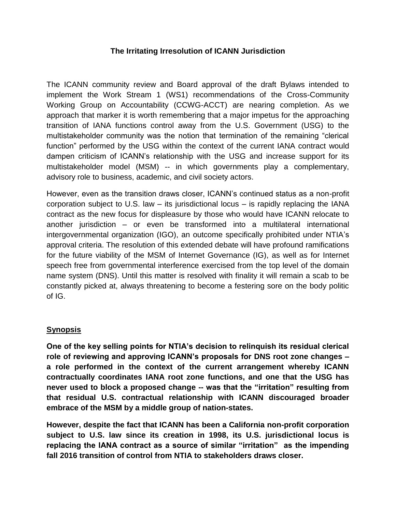## **The Irritating Irresolution of ICANN Jurisdiction**

The ICANN community review and Board approval of the draft Bylaws intended to implement the Work Stream 1 (WS1) recommendations of the Cross-Community Working Group on Accountability (CCWG-ACCT) are nearing completion. As we approach that marker it is worth remembering that a major impetus for the approaching transition of IANA functions control away from the U.S. Government (USG) to the multistakeholder community was the notion that termination of the remaining "clerical function" performed by the USG within the context of the current IANA contract would dampen criticism of ICANN's relationship with the USG and increase support for its multistakeholder model (MSM) -- in which governments play a complementary, advisory role to business, academic, and civil society actors.

However, even as the transition draws closer, ICANN's continued status as a non-profit corporation subject to U.S. law – its jurisdictional locus – is rapidly replacing the IANA contract as the new focus for displeasure by those who would have ICANN relocate to another jurisdiction – or even be transformed into a multilateral international intergovernmental organization (IGO), an outcome specifically prohibited under NTIA's approval criteria. The resolution of this extended debate will have profound ramifications for the future viability of the MSM of Internet Governance (IG), as well as for Internet speech free from governmental interference exercised from the top level of the domain name system (DNS). Until this matter is resolved with finality it will remain a scab to be constantly picked at, always threatening to become a festering sore on the body politic of IG.

#### **Synopsis**

**One of the key selling points for NTIA's decision to relinquish its residual clerical role of reviewing and approving ICANN's proposals for DNS root zone changes – a role performed in the context of the current arrangement whereby ICANN contractually coordinates IANA root zone functions, and one that the USG has never used to block a proposed change -- was that the "irritation" resulting from that residual U.S. contractual relationship with ICANN discouraged broader embrace of the MSM by a middle group of nation-states.**

**However, despite the fact that ICANN has been a California non-profit corporation subject to U.S. law since its creation in 1998, its U.S. jurisdictional locus is replacing the IANA contract as a source of similar "irritation" as the impending fall 2016 transition of control from NTIA to stakeholders draws closer.**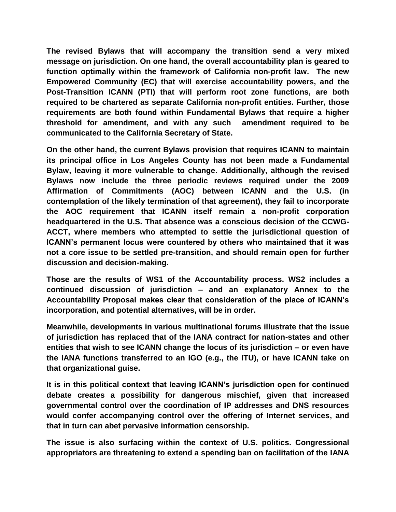**The revised Bylaws that will accompany the transition send a very mixed message on jurisdiction. On one hand, the overall accountability plan is geared to function optimally within the framework of California non-profit law. The new Empowered Community (EC) that will exercise accountability powers, and the Post-Transition ICANN (PTI) that will perform root zone functions, are both required to be chartered as separate California non-profit entities. Further, those requirements are both found within Fundamental Bylaws that require a higher threshold for amendment, and with any such amendment required to be communicated to the California Secretary of State.**

**On the other hand, the current Bylaws provision that requires ICANN to maintain its principal office in Los Angeles County has not been made a Fundamental Bylaw, leaving it more vulnerable to change. Additionally, although the revised Bylaws now include the three periodic reviews required under the 2009 Affirmation of Commitments (AOC) between ICANN and the U.S. (in contemplation of the likely termination of that agreement), they fail to incorporate the AOC requirement that ICANN itself remain a non-profit corporation headquartered in the U.S. That absence was a conscious decision of the CCWG-ACCT, where members who attempted to settle the jurisdictional question of ICANN's permanent locus were countered by others who maintained that it was not a core issue to be settled pre-transition, and should remain open for further discussion and decision-making.**

**Those are the results of WS1 of the Accountability process. WS2 includes a continued discussion of jurisdiction – and an explanatory Annex to the Accountability Proposal makes clear that consideration of the place of ICANN's incorporation, and potential alternatives, will be in order.**

**Meanwhile, developments in various multinational forums illustrate that the issue of jurisdiction has replaced that of the IANA contract for nation-states and other entities that wish to see ICANN change the locus of its jurisdiction – or even have the IANA functions transferred to an IGO (e.g., the ITU), or have ICANN take on that organizational guise.** 

**It is in this political context that leaving ICANN's jurisdiction open for continued debate creates a possibility for dangerous mischief, given that increased governmental control over the coordination of IP addresses and DNS resources would confer accompanying control over the offering of Internet services, and that in turn can abet pervasive information censorship.**

**The issue is also surfacing within the context of U.S. politics. Congressional appropriators are threatening to extend a spending ban on facilitation of the IANA**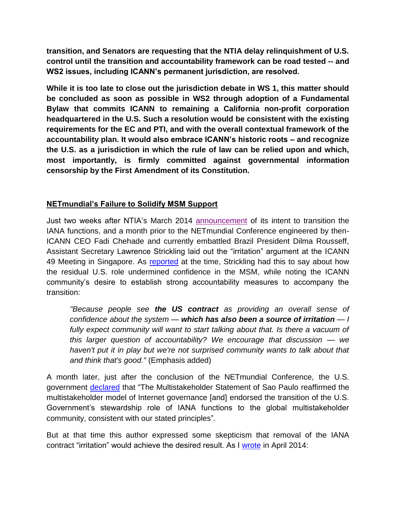**transition, and Senators are requesting that the NTIA delay relinquishment of U.S. control until the transition and accountability framework can be road tested -- and WS2 issues, including ICANN's permanent jurisdiction, are resolved.**

**While it is too late to close out the jurisdiction debate in WS 1, this matter should be concluded as soon as possible in WS2 through adoption of a Fundamental Bylaw that commits ICANN to remaining a California non-profit corporation headquartered in the U.S. Such a resolution would be consistent with the existing requirements for the EC and PTI, and with the overall contextual framework of the accountability plan. It would also embrace ICANN's historic roots – and recognize the U.S. as a jurisdiction in which the rule of law can be relied upon and which, most importantly, is firmly committed against governmental information censorship by the First Amendment of its Constitution.**

# **NETmundial's Failure to Solidify MSM Support**

Just two weeks after NTIA's March 2014 [announcement](https://www.ntia.doc.gov/press-release/2014/ntia-announces-intent-transition-key-internet-domain-name-functions) of its intent to transition the IANA functions, and a month prior to the NETmundial Conference engineered by then-ICANN CEO Fadi Chehade and currently embattled Brazil President Dilma Rousseff, Assistant Secretary Lawrence Strickling laid out the "irritation" argument at the ICANN 49 Meeting in Singapore. As [reported](http://www.circleid.com/posts/20140327_what_the_us_government_said_about_iana_in_singapore/) at the time, Strickling had this to say about how the residual U.S. role undermined confidence in the MSM, while noting the ICANN community's desire to establish strong accountability measures to accompany the transition:

*"Because people see the US contract as providing an overall sense of confidence about the system — which has also been a source of irritation — I*  fully expect community will want to start talking about that. Is there a vacuum of *this larger question of accountability? We encourage that discussion — we haven't put it in play but we're not surprised community wants to talk about that and think that's good."* (Emphasis added)

A month later, just after the conclusion of the NETmundial Conference, the U.S. government [declared](http://m.state.gov/md225183.htm) that "The Multistakeholder Statement of Sao Paulo reaffirmed the multistakeholder model of Internet governance [and] endorsed the transition of the U.S. Government's stewardship role of IANA functions to the global multistakeholder community, consistent with our stated principles".

But at that time this author expressed some skepticism that removal of the IANA contract "irritation" would achieve the desired result. As I [wrote](http://www.circleid.com/posts/20140504_netmundial_multistakeholder_statement_concludes_act_one_of_2014/) in April 2014: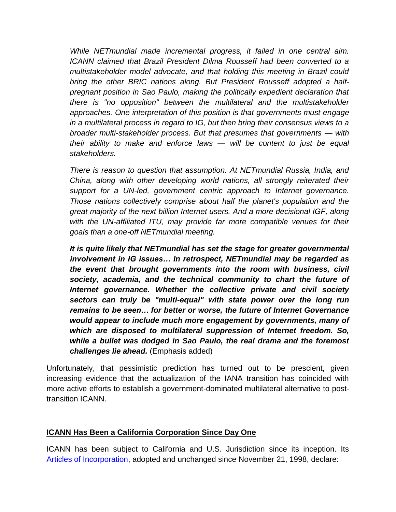*While NETmundial made incremental progress, it failed in one central aim. ICANN claimed that Brazil President Dilma Rousseff had been converted to a multistakeholder model advocate, and that holding this meeting in Brazil could bring the other BRIC nations along. But President Rousseff adopted a halfpregnant position in Sao Paulo, making the politically expedient declaration that there is "no opposition" between the multilateral and the multistakeholder approaches. One interpretation of this position is that governments must engage in a multilateral process in regard to IG, but then bring their consensus views to a broader multi-stakeholder process. But that presumes that governments — with their ability to make and enforce laws — will be content to just be equal stakeholders.*

*There is reason to question that assumption. At NETmundial Russia, India, and China, along with other developing world nations, all strongly reiterated their support for a UN-led, government centric approach to Internet governance. Those nations collectively comprise about half the planet's population and the great majority of the next billion Internet users. And a more decisional IGF, along*  with the UN-affiliated ITU, may provide far more compatible venues for their *goals than a one-off NETmundial meeting.*

*It is quite likely that NETmundial has set the stage for greater governmental involvement in IG issues… In retrospect, NETmundial may be regarded as the event that brought governments into the room with business, civil society, academia, and the technical community to chart the future of Internet governance. Whether the collective private and civil society sectors can truly be "multi-equal" with state power over the long run remains to be seen… for better or worse, the future of Internet Governance would appear to include much more engagement by governments, many of which are disposed to multilateral suppression of Internet freedom. So, while a bullet was dodged in Sao Paulo, the real drama and the foremost challenges lie ahead.* (Emphasis added)

Unfortunately, that pessimistic prediction has turned out to be prescient, given increasing evidence that the actualization of the IANA transition has coincided with more active efforts to establish a government-dominated multilateral alternative to posttransition ICANN.

## **ICANN Has Been a California Corporation Since Day One**

ICANN has been subject to California and U.S. Jurisdiction since its inception. Its [Articles of Incorporation,](https://www.icann.org/resources/pages/governance/articles-en) adopted and unchanged since November 21, 1998, declare: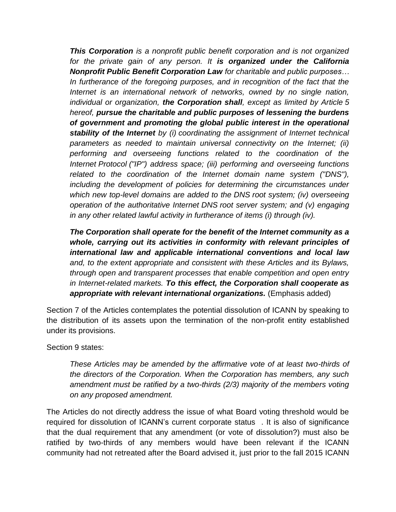*This Corporation is a nonprofit public benefit corporation and is not organized for the private gain of any person. It is organized under the California Nonprofit Public Benefit Corporation Law for charitable and public purposes…* In furtherance of the foregoing purposes, and in recognition of the fact that the *Internet is an international network of networks, owned by no single nation, individual or organization, the Corporation shall, except as limited by Article 5 hereof, pursue the charitable and public purposes of lessening the burdens of government and promoting the global public interest in the operational stability of the Internet by (i) coordinating the assignment of Internet technical parameters as needed to maintain universal connectivity on the Internet; (ii) performing and overseeing functions related to the coordination of the Internet Protocol ("IP") address space; (iii) performing and overseeing functions related to the coordination of the Internet domain name system ("DNS"), including the development of policies for determining the circumstances under which new top-level domains are added to the DNS root system; (iv) overseeing operation of the authoritative Internet DNS root server system; and (v) engaging in any other related lawful activity in furtherance of items (i) through (iv).*

*The Corporation shall operate for the benefit of the Internet community as a whole, carrying out its activities in conformity with relevant principles of international law and applicable international conventions and local law and, to the extent appropriate and consistent with these Articles and its Bylaws, through open and transparent processes that enable competition and open entry in Internet-related markets. To this effect, the Corporation shall cooperate as appropriate with relevant international organizations.* (Emphasis added)

Section 7 of the Articles contemplates the potential dissolution of ICANN by speaking to the distribution of its assets upon the termination of the non-profit entity established under its provisions.

Section 9 states:

*These Articles may be amended by the affirmative vote of at least two-thirds of the directors of the Corporation. When the Corporation has members, any such amendment must be ratified by a two-thirds (2/3) majority of the members voting on any proposed amendment.*

The Articles do not directly address the issue of what Board voting threshold would be required for dissolution of ICANN's current corporate status . It is also of significance that the dual requirement that any amendment (or vote of dissolution?) must also be ratified by two-thirds of any members would have been relevant if the ICANN community had not retreated after the Board advised it, just prior to the fall 2015 ICANN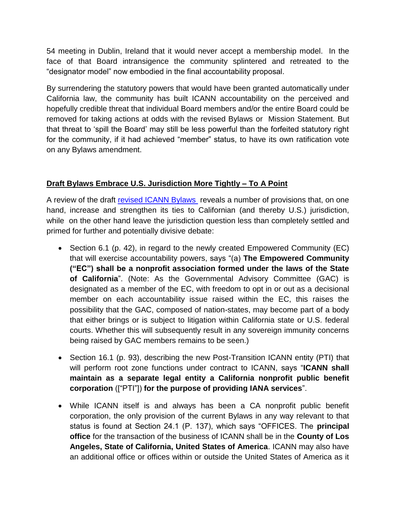54 meeting in Dublin, Ireland that it would never accept a membership model. In the face of that Board intransigence the community splintered and retreated to the "designator model" now embodied in the final accountability proposal.

By surrendering the statutory powers that would have been granted automatically under California law, the community has built ICANN accountability on the perceived and hopefully credible threat that individual Board members and/or the entire Board could be removed for taking actions at odds with the revised Bylaws or Mission Statement. But that threat to 'spill the Board' may still be less powerful than the forfeited statutory right for the community, if it had achieved "member" status, to have its own ratification vote on any Bylaws amendment.

# **Draft Bylaws Embrace U.S. Jurisdiction More Tightly – To A Point**

A review of the draft [revised ICANN Bylaws](https://www.icann.org/public-comments/draft-new-bylaws-2016-04-21-en) reveals a number of provisions that, on one hand, increase and strengthen its ties to Californian (and thereby U.S.) jurisdiction, while on the other hand leave the jurisdiction question less than completely settled and primed for further and potentially divisive debate:

- Section 6.1 (p. 42), in regard to the newly created Empowered Community (EC) that will exercise accountability powers, says "(a) **The Empowered Community ("EC") shall be a nonprofit association formed under the laws of the State of California**". (Note: As the Governmental Advisory Committee (GAC) is designated as a member of the EC, with freedom to opt in or out as a decisional member on each accountability issue raised within the EC, this raises the possibility that the GAC, composed of nation-states, may become part of a body that either brings or is subject to litigation within California state or U.S. federal courts. Whether this will subsequently result in any sovereign immunity concerns being raised by GAC members remains to be seen.)
- Section 16.1 (p. 93), describing the new Post-Transition ICANN entity (PTI) that will perform root zone functions under contract to ICANN, says "**ICANN shall maintain as a separate legal entity a California nonprofit public benefit corporation** (["PTI"]) **for the purpose of providing IANA services**".
- While ICANN itself is and always has been a CA nonprofit public benefit corporation, the only provision of the current Bylaws in any way relevant to that status is found at Section 24.1 (P. 137), which says "OFFICES. The **principal office** for the transaction of the business of ICANN shall be in the **County of Los Angeles, State of California, United States of America**. ICANN may also have an additional office or offices within or outside the United States of America as it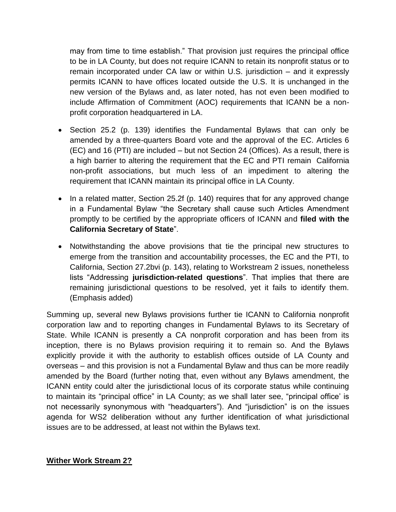may from time to time establish." That provision just requires the principal office to be in LA County, but does not require ICANN to retain its nonprofit status or to remain incorporated under CA law or within U.S. jurisdiction – and it expressly permits ICANN to have offices located outside the U.S. It is unchanged in the new version of the Bylaws and, as later noted, has not even been modified to include Affirmation of Commitment (AOC) requirements that ICANN be a nonprofit corporation headquartered in LA.

- Section 25.2 (p. 139) identifies the Fundamental Bylaws that can only be amended by a three-quarters Board vote and the approval of the EC. Articles 6 (EC) and 16 (PTI) are included – but not Section 24 (Offices). As a result, there is a high barrier to altering the requirement that the EC and PTI remain California non-profit associations, but much less of an impediment to altering the requirement that ICANN maintain its principal office in LA County.
- In a related matter, Section 25.2f (p. 140) requires that for any approved change in a Fundamental Bylaw "the Secretary shall cause such Articles Amendment promptly to be certified by the appropriate officers of ICANN and **filed with the California Secretary of State**".
- Notwithstanding the above provisions that tie the principal new structures to emerge from the transition and accountability processes, the EC and the PTI, to California, Section 27.2bvi (p. 143), relating to Workstream 2 issues, nonetheless lists "Addressing **jurisdiction-related questions**". That implies that there are remaining jurisdictional questions to be resolved, yet it fails to identify them. (Emphasis added)

Summing up, several new Bylaws provisions further tie ICANN to California nonprofit corporation law and to reporting changes in Fundamental Bylaws to its Secretary of State. While ICANN is presently a CA nonprofit corporation and has been from its inception, there is no Bylaws provision requiring it to remain so. And the Bylaws explicitly provide it with the authority to establish offices outside of LA County and overseas – and this provision is not a Fundamental Bylaw and thus can be more readily amended by the Board (further noting that, even without any Bylaws amendment, the ICANN entity could alter the jurisdictional locus of its corporate status while continuing to maintain its "principal office" in LA County; as we shall later see, "principal office' is not necessarily synonymous with "headquarters"). And "jurisdiction" is on the issues agenda for WS2 deliberation without any further identification of what jurisdictional issues are to be addressed, at least not within the Bylaws text.

## **Wither Work Stream 2?**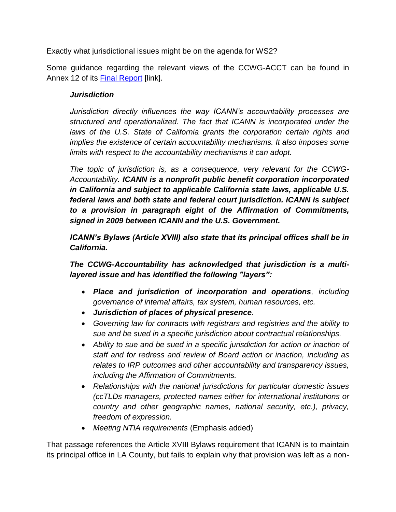Exactly what jurisdictional issues might be on the agenda for WS2?

Some guidance regarding the relevant views of the CCWG-ACCT can be found in Annex 12 of its [Final Report](https://www.icann.org/en/system/files/files/ccwg-accountability-supp-proposal-work-stream-1-recs-23feb16-en.pdf) [link].

# *Jurisdiction*

*Jurisdiction directly influences the way ICANN's accountability processes are structured and operationalized. The fact that ICANN is incorporated under the*  laws of the U.S. State of California grants the corporation certain rights and *implies the existence of certain accountability mechanisms. It also imposes some limits with respect to the accountability mechanisms it can adopt.*

*The topic of jurisdiction is, as a consequence, very relevant for the CCWG-Accountability. ICANN is a nonprofit public benefit corporation incorporated in California and subject to applicable California state laws, applicable U.S. federal laws and both state and federal court jurisdiction. ICANN is subject to a provision in paragraph eight of the Affirmation of Commitments, signed in 2009 between ICANN and the U.S. Government.*

*ICANN's Bylaws (Article XVIII) also state that its principal offices shall be in California.*

*The CCWG-Accountability has acknowledged that jurisdiction is a multilayered issue and has identified the following "layers":*

- *Place and jurisdiction of incorporation and operations, including governance of internal affairs, tax system, human resources, etc.*
- *Jurisdiction of places of physical presence.*
- *Governing law for contracts with registrars and registries and the ability to sue and be sued in a specific jurisdiction about contractual relationships.*
- *Ability to sue and be sued in a specific jurisdiction for action or inaction of staff and for redress and review of Board action or inaction, including as relates to IRP outcomes and other accountability and transparency issues, including the Affirmation of Commitments.*
- *Relationships with the national jurisdictions for particular domestic issues (ccTLDs managers, protected names either for international institutions or country and other geographic names, national security, etc.), privacy, freedom of expression.*
- *Meeting NTIA requirements* (Emphasis added)

That passage references the Article XVIII Bylaws requirement that ICANN is to maintain its principal office in LA County, but fails to explain why that provision was left as a non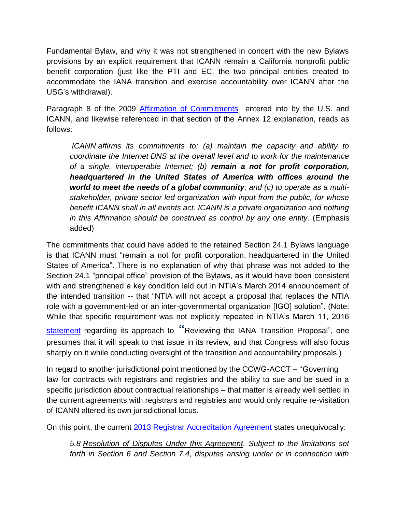Fundamental Bylaw, and why it was not strengthened in concert with the new Bylaws provisions by an explicit requirement that ICANN remain a California nonprofit public benefit corporation (just like the PTI and EC, the two principal entities created to accommodate the IANA transition and exercise accountability over ICANN after the USG's withdrawal).

Paragraph 8 of the 2009 [Affirmation of Commitments](https://www.icann.org/news/announcement-2009-09-30-en) entered into by the U.S. and ICANN, and likewise referenced in that section of the Annex 12 explanation, reads as follows:

*ICANN affirms its commitments to: (a) maintain the capacity and ability to coordinate the Internet DNS at the overall level and to work for the maintenance of a single, interoperable Internet; (b) remain a not for profit corporation, headquartered in the United States of America with offices around the world to meet the needs of a global community; and (c) to operate as a multistakeholder, private sector led organization with input from the public, for whose benefit ICANN shall in all events act. ICANN is a private organization and nothing in this Affirmation should be construed as control by any one entity.* (Emphasis added)

The commitments that could have added to the retained Section 24.1 Bylaws language is that ICANN must "remain a not for profit corporation, headquartered in the United States of America". There is no explanation of why that phrase was not added to the Section 24.1 "principal office" provision of the Bylaws, as it would have been consistent with and strengthened a key condition laid out in NTIA's March 2014 announcement of the intended transition -- that "NTIA will not accept a proposal that replaces the NTIA role with a government-led or an inter-governmental organization [IGO] solution". (Note: While that specific requirement was not explicitly repeated in NTIA's March 11, 201[6](https://www.ntia.doc.gov/blog/2016/reviewing-iana-transition-proposal) [statement](https://www.ntia.doc.gov/blog/2016/reviewing-iana-transition-proposal) regarding its approach to **"**Reviewing the IANA Transition Proposal", one presumes that it will speak to that issue in its review, and that Congress will also focus sharply on it while conducting oversight of the transition and accountability proposals.)

In regard to another jurisdictional point mentioned by the CCWG-ACCT – "Governing law for contracts with registrars and registries and the ability to sue and be sued in a specific jurisdiction about contractual relationships – that matter is already well settled in the current agreements with registrars and registries and would only require re-visitation of ICANN altered its own jurisdictional locus.

On this point, the current [2013 Registrar Accreditation Agreement](https://www.icann.org/resources/pages/approved-with-specs-2013-09-17-en) states unequivocally:

*5.8 Resolution of Disputes Under this Agreement. Subject to the limitations set forth in Section 6 and Section 7.4, disputes arising under or in connection with*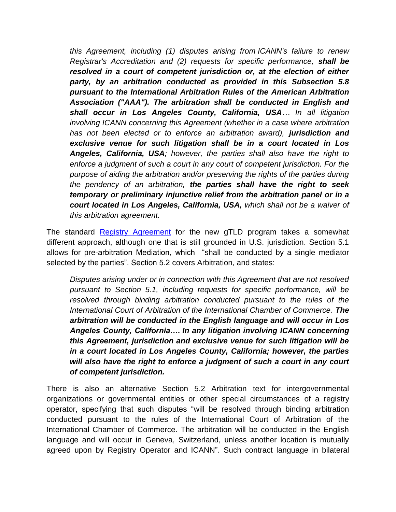*this Agreement, including (1) disputes arising from ICANN's failure to renew Registrar's Accreditation and (2) requests for specific performance, shall be resolved in a court of competent jurisdiction or, at the election of either party, by an arbitration conducted as provided in this Subsection 5.8 pursuant to the International Arbitration Rules of the American Arbitration Association ("AAA"). The arbitration shall be conducted in English and shall occur in Los Angeles County, California, USA… In all litigation involving ICANN concerning this Agreement (whether in a case where arbitration has not been elected or to enforce an arbitration award), jurisdiction and exclusive venue for such litigation shall be in a court located in Los Angeles, California, USA; however, the parties shall also have the right to enforce a judgment of such a court in any court of competent jurisdiction. For the purpose of aiding the arbitration and/or preserving the rights of the parties during the pendency of an arbitration, the parties shall have the right to seek temporary or preliminary injunctive relief from the arbitration panel or in a court located in Los Angeles, California, USA, which shall not be a waiver of this arbitration agreement.*

The standard [Registry Agreement](https://newgtlds.icann.org/sites/default/files/agreements/agreement-approved-09jan14-en.pdf) for the new gTLD program takes a somewhat different approach, although one that is still grounded in U.S. jurisdiction. Section 5.1 allows for pre-arbitration Mediation, which "shall be conducted by a single mediator selected by the parties". Section 5.2 covers Arbitration, and states:

*Disputes arising under or in connection with this Agreement that are not resolved pursuant to Section 5.1, including requests for specific performance, will be resolved through binding arbitration conducted pursuant to the rules of the International Court of Arbitration of the International Chamber of Commerce. The arbitration will be conducted in the English language and will occur in Los Angeles County, California…. In any litigation involving ICANN concerning this Agreement, jurisdiction and exclusive venue for such litigation will be in a court located in Los Angeles County, California; however, the parties*  will also have the right to enforce a judgment of such a court in any court *of competent jurisdiction.*

There is also an alternative Section 5.2 Arbitration text for intergovernmental organizations or governmental entities or other special circumstances of a registry operator, specifying that such disputes "will be resolved through binding arbitration conducted pursuant to the rules of the International Court of Arbitration of the International Chamber of Commerce. The arbitration will be conducted in the English language and will occur in Geneva, Switzerland, unless another location is mutually agreed upon by Registry Operator and ICANN". Such contract language in bilateral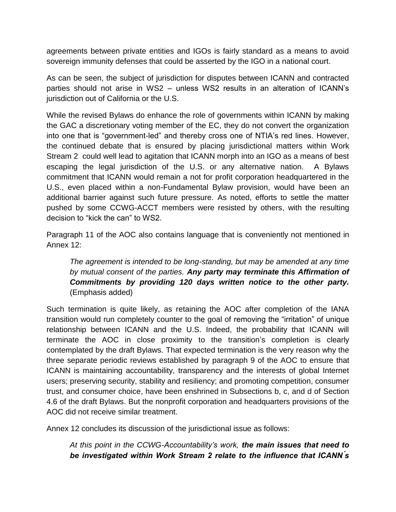agreements between private entities and IGOs is fairly standard as a means to avoid sovereign immunity defenses that could be asserted by the IGO in a national court.

As can be seen, the subject of jurisdiction for disputes between ICANN and contracted parties should not arise in WS2 – unless WS2 results in an alteration of ICANN's jurisdiction out of California or the U.S.

While the revised Bylaws do enhance the role of governments within ICANN by making the GAC a discretionary voting member of the EC, they do not convert the organization into one that is "government-led" and thereby cross one of NTIA's red lines. However, the continued debate that is ensured by placing jurisdictional matters within Work Stream 2 could well lead to agitation that ICANN morph into an IGO as a means of best escaping the legal jurisdiction of the U.S. or any alternative nation. A Bylaws commitment that ICANN would remain a not for profit corporation headquartered in the U.S., even placed within a non-Fundamental Bylaw provision, would have been an additional barrier against such future pressure. As noted, efforts to settle the matter pushed by some CCWG-ACCT members were resisted by others, with the resulting decision to "kick the can" to WS2.

Paragraph 11 of the AOC also contains language that is conveniently not mentioned in Annex 12:

*The agreement is intended to be long-standing, but may be amended at any time by mutual consent of the parties. Any party may terminate this Affirmation of Commitments by providing 120 days written notice to the other party.* (Emphasis added)

Such termination is quite likely, as retaining the AOC after completion of the IANA transition would run completely counter to the goal of removing the "irritation" of unique relationship between ICANN and the U.S. Indeed, the probability that ICANN will terminate the AOC in close proximity to the transition's completion is clearly contemplated by the draft Bylaws. That expected termination is the very reason why the three separate periodic reviews established by paragraph 9 of the AOC to ensure that ICANN is maintaining accountability, transparency and the interests of global Internet users; preserving security, stability and resiliency; and promoting competition, consumer trust, and consumer choice, have been enshrined in Subsections b, c, and d of Section 4.6 of the draft Bylaws. But the nonprofit corporation and headquarters provisions of the AOC did not receive similar treatment.

Annex 12 concludes its discussion of the jurisdictional issue as follows:

*At this point in the CCWG-Accountability's work, the main issues that need to be investigated within Work Stream 2 relate to the influence that ICANN ́s*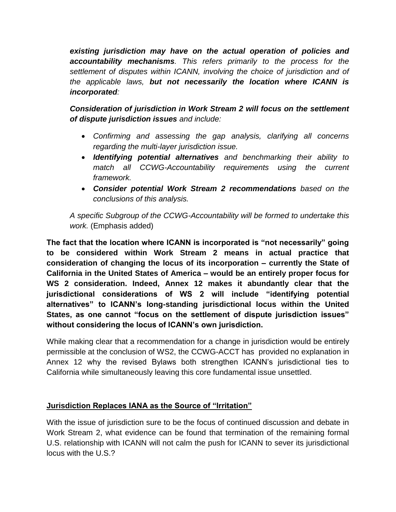*existing jurisdiction may have on the actual operation of policies and accountability mechanisms. This refers primarily to the process for the settlement of disputes within ICANN, involving the choice of jurisdiction and of the applicable laws, but not necessarily the location where ICANN is incorporated:*

*Consideration of jurisdiction in Work Stream 2 will focus on the settlement of dispute jurisdiction issues and include:* 

- *Confirming and assessing the gap analysis, clarifying all concerns regarding the multi-layer jurisdiction issue.*
- *Identifying potential alternatives and benchmarking their ability to match all CCWG-Accountability requirements using the current framework.*
- *Consider potential Work Stream 2 recommendations based on the conclusions of this analysis.*

*A specific Subgroup of the CCWG-Accountability will be formed to undertake this work.* (Emphasis added)

**The fact that the location where ICANN is incorporated is "not necessarily" going to be considered within Work Stream 2 means in actual practice that consideration of changing the locus of its incorporation – currently the State of California in the United States of America – would be an entirely proper focus for WS 2 consideration. Indeed, Annex 12 makes it abundantly clear that the jurisdictional considerations of WS 2 will include "identifying potential alternatives" to ICANN's long-standing jurisdictional locus within the United States, as one cannot "focus on the settlement of dispute jurisdiction issues" without considering the locus of ICANN's own jurisdiction.**

While making clear that a recommendation for a change in jurisdiction would be entirely permissible at the conclusion of WS2, the CCWG-ACCT has provided no explanation in Annex 12 why the revised Bylaws both strengthen ICANN's jurisdictional ties to California while simultaneously leaving this core fundamental issue unsettled.

# **Jurisdiction Replaces IANA as the Source of "Irritation"**

With the issue of jurisdiction sure to be the focus of continued discussion and debate in Work Stream 2, what evidence can be found that termination of the remaining formal U.S. relationship with ICANN will not calm the push for ICANN to sever its jurisdictional locus with the U.S.?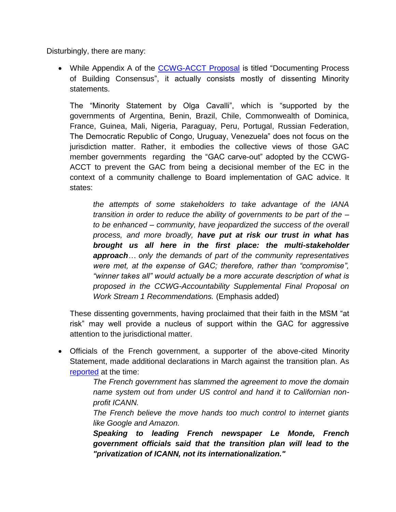Disturbingly, there are many:

• While Appendix A of the [CCWG-ACCT Proposal](https://www.icann.org/en/system/files/files/ccwg-accountability-supp-proposal-work-stream-1-recs-23feb16-en.pdf) is titled "Documenting Process of Building Consensus", it actually consists mostly of dissenting Minority statements.

The "Minority Statement by Olga Cavalli", which is "supported by the governments of Argentina, Benin, Brazil, Chile, Commonwealth of Dominica, France, Guinea, Mali, Nigeria, Paraguay, Peru, Portugal, Russian Federation, The Democratic Republic of Congo, Uruguay, Venezuela" does not focus on the jurisdiction matter. Rather, it embodies the collective views of those GAC member governments regarding the "GAC carve-out" adopted by the CCWG-ACCT to prevent the GAC from being a decisional member of the EC in the context of a community challenge to Board implementation of GAC advice. It states:

*the attempts of some stakeholders to take advantage of the IANA transition in order to reduce the ability of governments to be part of the – to be enhanced – community, have jeopardized the success of the overall process, and more broadly, have put at risk our trust in what has brought us all here in the first place: the multi-stakeholder approach… only the demands of part of the community representatives were met, at the expense of GAC; therefore, rather than "compromise", "winner takes all" would actually be a more accurate description of what is proposed in the CCWG-Accountability Supplemental Final Proposal on Work Stream 1 Recommendations.* (Emphasis added)

These dissenting governments, having proclaimed that their faith in the MSM "at risk" may well provide a nucleus of support within the GAC for aggressive attention to the jurisdictional matter.

 Officials of the French government, a supporter of the above-cited Minority Statement, made additional declarations in March against the transition plan. As [reported](http://www.theregister.co.uk/2016/03/24/france_slams_us_govt_internet_transition/) at the time:

> *The French government has slammed the agreement to move the domain name system out from under US control and hand it to Californian nonprofit ICANN.*

> *The French believe the move hands too much control to internet giants like Google and Amazon.*

> *Speaking to leading French newspaper Le Monde, French government officials said that the transition plan will lead to the "privatization of ICANN, not its internationalization."*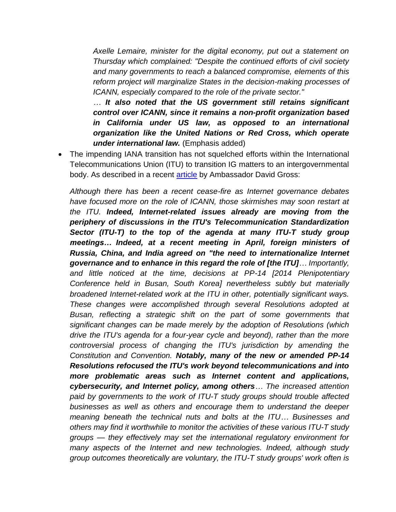*Axelle Lemaire, minister for the digital economy, put out a statement on Thursday which complained: "Despite the continued efforts of civil society and many governments to reach a balanced compromise, elements of this reform project will marginalize States in the decision-making processes of ICANN, especially compared to the role of the private sector."*

*… It also noted that the US government still retains significant control over ICANN, since it remains a non-profit organization based in California under US law, as opposed to an international organization like the United Nations or Red Cross, which operate under international law.* (Emphasis added)

 The impending IANA transition has not squelched efforts within the International Telecommunications Union (ITU) to transition IG matters to an intergovernmental body. As described in a recent [article](http://www.circleid.com/posts/20160429_internet_governance_in_transition_itu_battleground_rival_visions/) by Ambassador David Gross:

*Although there has been a recent cease-fire as Internet governance debates*  have focused more on the role of ICANN, those skirmishes may soon restart at *the ITU. Indeed, Internet-related issues already are moving from the periphery of discussions in the ITU's Telecommunication Standardization Sector (ITU-T) to the top of the agenda at many ITU-T study group meetings… Indeed, at a recent meeting in April, foreign ministers of Russia, China, and India agreed on "the need to internationalize Internet governance and to enhance in this regard the role of [the ITU]… Importantly, and little noticed at the time, decisions at PP-14 [2014 Plenipotentiary Conference held in Busan, South Korea] nevertheless subtly but materially broadened Internet-related work at the ITU in other, potentially significant ways. These changes were accomplished through several Resolutions adopted at Busan, reflecting a strategic shift on the part of some governments that significant changes can be made merely by the adoption of Resolutions (which drive the ITU's agenda for a four-year cycle and beyond), rather than the more controversial process of changing the ITU's jurisdiction by amending the Constitution and Convention. Notably, many of the new or amended PP-14 Resolutions refocused the ITU's work beyond telecommunications and into more problematic areas such as Internet content and applications, cybersecurity, and Internet policy, among others… The increased attention paid by governments to the work of ITU-T study groups should trouble affected businesses as well as others and encourage them to understand the deeper meaning beneath the technical nuts and bolts at the ITU… Businesses and others may find it worthwhile to monitor the activities of these various ITU-T study groups — they effectively may set the international regulatory environment for many aspects of the Internet and new technologies. Indeed, although study group outcomes theoretically are voluntary, the ITU-T study groups' work often is*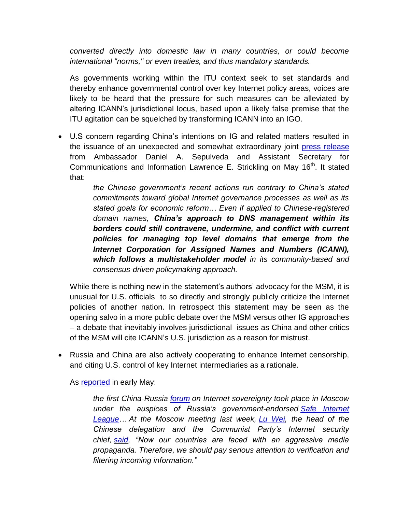*converted directly into domestic law in many countries, or could become international "norms," or even treaties, and thus mandatory standards.*

As governments working within the ITU context seek to set standards and thereby enhance governmental control over key Internet policy areas, voices are likely to be heard that the pressure for such measures can be alleviated by altering ICANN's jurisdictional locus, based upon a likely false premise that the ITU agitation can be squelched by transforming ICANN into an IGO.

 U.S concern regarding China's intentions on IG and related matters resulted in the issuance of an unexpected and somewhat extraordinary joint [press release](https://www.ntia.doc.gov/blog/2016/china-s-internet-domain-name-measures-and-digital-economy) from Ambassador Daniel A. Sepulveda and Assistant Secretary for Communications and Information Lawrence E. Strickling on May 16<sup>th</sup>. It stated that:

> *the Chinese government's recent actions run contrary to China's stated commitments toward global Internet governance processes as well as its stated goals for economic reform… Even if applied to Chinese-registered domain names, China's approach to DNS management within its borders could still contravene, undermine, and conflict with current policies for managing top level domains that emerge from the Internet Corporation for Assigned Names and Numbers (ICANN), which follows a multistakeholder model in its community-based and consensus-driven policymaking approach.*

While there is nothing new in the statement's authors' advocacy for the MSM, it is unusual for U.S. officials to so directly and strongly publicly criticize the Internet policies of another nation. In retrospect this statement may be seen as the opening salvo in a more public debate over the MSM versus other IG approaches – a debate that inevitably involves jurisdictional issues as China and other critics of the MSM will cite ICANN's U.S. jurisdiction as a reason for mistrust.

 Russia and China are also actively cooperating to enhance Internet censorship, and citing U.S. control of key Internet intermediaries as a rationale.

As [reported](http://www.huffingtonpost.com/scott-malcomson/russia-china-internet_b_9841670.html) in early May:

*the first China-Russia [forum](http://safeinternetforum.ru/en/programma/) on Internet sovereignty took place in Moscow under the auspices of Russia's government-endorsed [Safe Internet](http://ligainternet.ru/)  [League…](http://ligainternet.ru/) At the Moscow meeting last week, [Lu Wei,](http://www.nytimes.com/2014/12/02/world/asia/gregarious-and-direct-chinas-web-doorkeeper.html) the head of the Chinese delegation and the Communist Party's Internet security chief, [said,](http://ligainternet.ru/news/news-detail.php?ID=12888) "Now our countries are faced with an aggressive media propaganda. Therefore, we should pay serious attention to verification and filtering incoming information."*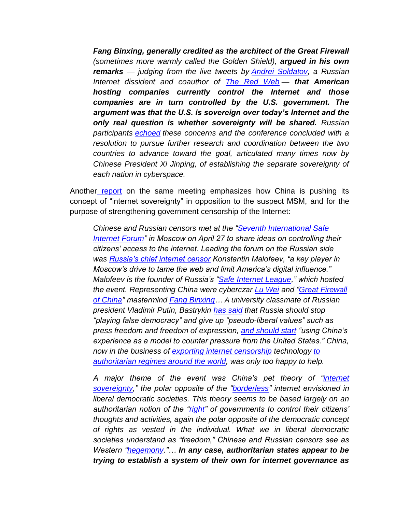*Fang Binxing, generally credited as the architect of the Great Firewall (sometimes more warmly called the Golden Shield), argued in his own remarks — judging from the live tweets by [Andrei Soldatov,](https://twitter.com/AndreiSoldatov) a Russian Internet dissident and coauthor of [The Red Web](http://www.amazon.com/Red-Web-Struggle-Dictators-Revolutionaries/dp/1610395735) — that American hosting companies currently control the Internet and those companies are in turn controlled by the U.S. government. The argument was that the U.S. is sovereign over today's Internet and the*  **only real question is whether sovereignty will be shared.** Russian *participants [echoed](http://www.voanews.com/content/russian-censorship-group-seeks-chinese-help-better-control-internet/3308924.html) these concerns and the conference concluded with a resolution to pursue further research and coordination between the two countries to advance toward the goal, articulated many times now by Chinese President Xi Jinping, of establishing the separate sovereignty of each nation in cyberspace.*

Another [report](http://foreignpolicyblogs.com/2016/05/02/china-and-russia-join-hands-for-internet-censorship/?platform=hootsuite) on the same meeting emphasizes how China is pushing its concept of "internet sovereignty" in opposition to the suspect MSM, and for the purpose of strengthening government censorship of the Internet:

*Chinese and Russian censors met at the ["Seventh International Safe](http://safeinternetforum.ru/en/)  [Internet Forum"](http://safeinternetforum.ru/en/) in Moscow on April 27 to share ideas on controlling their citizens' access to the internet. Leading the forum on the Russian side was [Russia's chief internet censor](https://next.ft.com/content/08564d74-0bbf-11e6-9456-444ab5211a2f) Konstantin Malofeev, "a key player in Moscow's drive to tame the web and limit America's digital influence." Malofeev is the founder of Russia's ["Safe Internet League,](http://www.ligainternet.ru/en/)" which hosted the event. Representing China were cyberczar [Lu Wei](http://chinadigitaltimes.net/china/lu-wei/) and ["Great Firewall](http://chinadigitaltimes.net/space/Great_Firewall)  [of China"](http://chinadigitaltimes.net/space/Great_Firewall) mastermind [Fang Binxing…](http://chinadigitaltimes.net/space/Fang_%22always_wet%22) A university classmate of Russian president Vladimir Putin, Bastrykin [has said](http://www.thetimes.co.uk/article/putin-ally-calls-for-china-style-censorship-0x69klqqs) that Russia should stop "playing false democracy" and give up "pseudo-liberal values" such as press freedom and freedom of expression, [and should start](https://www.rt.com/politics/340062-top-russian-investigator-proposes-internet/) "using China's experience as a model to counter pressure from the United States." China, now in the business of [exporting internet censorship](http://www.usnews.com/opinion/blogs/world-report/2014/01/30/china-is-exporting-internet-censorship-to-iran) technology [to](http://blogs.reuters.com/david-rohde/2011/11/17/chinas-newest-export-internet-censorship/)  [authoritarian regimes around the world,](http://blogs.reuters.com/david-rohde/2011/11/17/chinas-newest-export-internet-censorship/) was only too happy to help.*

*A major theme of the event was China's pet theory of ["internet](http://chinadigitaltimes.net/2015/05/china-and-russia-agree-to-respect-cyber-sovereignty/)  [sovereignty,](http://chinadigitaltimes.net/2015/05/china-and-russia-agree-to-respect-cyber-sovereignty/)" the polar opposite of the ["borderless"](http://www.financialdirector.co.uk/financial-director/opinion/2238840/the-internet-must-remain-borderless) internet envisioned in liberal democratic societies. This theory seems to be based largely on an authoritarian notion of the ["right"](https://twitter.com/AndreiSoldatov/status/725251548134137856) of governments to control their citizens' thoughts and activities, again the polar opposite of the democratic concept of rights as vested in the individual. What we in liberal democratic societies understand as "freedom," Chinese and Russian censors see as Western ["hegemony.](http://chinadigitaltimes.net/2016/04/chinese-cyberchiefs-preach-internet-sovereignty-moscow/)"… In any case, authoritarian states appear to be trying to establish a system of their own for internet governance as*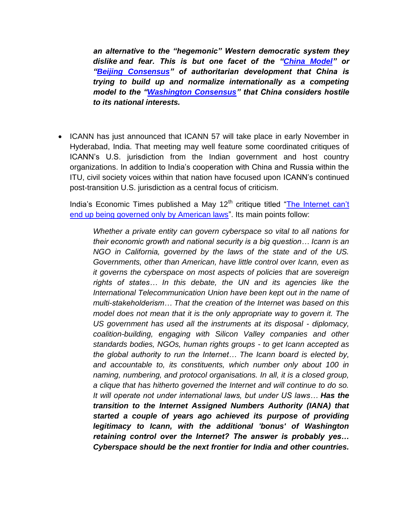*an alternative to the "hegemonic" Western democratic system they dislike and fear. This is but one facet of the ["China Model"](http://www.theatlantic.com/china/archive/2013/03/why-the-china-model-isnt-going-away/274237/) or ["Beijing Consensus"](https://www.foreignaffairs.com/reviews/capsule-review/2010-05-01/beijing-consensus-how-chinas-authoritarian-model-will-dominate) of authoritarian development that China is trying to build up and normalize internationally as a competing model to the ["Washington Consensus"](http://www.japanpolicyforum.jp/archives/editor/pt20150120054332.html) that China considers hostile to its national interests.*

• ICANN has just announced that ICANN 57 will take place in early November in Hyderabad, India. That meeting may well feature some coordinated critiques of ICANN's U.S. jurisdiction from the Indian government and host country organizations. In addition to India's cooperation with China and Russia within the ITU, civil society voices within that nation have focused upon ICANN's continued post-transition U.S. jurisdiction as a central focus of criticism.

India's Economic Times published a May  $12<sup>th</sup>$  critique titled "The Internet can't [end up being governed only by American laws"](http://articles.economictimes.indiatimes.com/2016-05-12/news/73039723_1_itu-international-telecommunication-union-icann). Its main points follow:

*Whether a private entity can govern cyberspace so vital to all nations for their economic growth and national security is a big question… Icann is an NGO in California, governed by the laws of the state and of the US. Governments, other than American, have little control over Icann, even as it governs the cyberspace on most aspects of policies that are sovereign rights of states… In this debate, the UN and its agencies like the International Telecommunication Union have been kept out in the name of multi-stakeholderism… That the creation of the Internet was based on this model does not mean that it is the only appropriate way to govern it. The US government has used all the instruments at its disposal - diplomacy, coalition-building, engaging with Silicon Valley companies and other standards bodies, NGOs, human rights groups - to get Icann accepted as the global authority to run the Internet… The Icann board is elected by, and accountable to, its constituents, which number only about 100 in naming, numbering, and protocol organisations. In all, it is a closed group, a clique that has hitherto governed the Internet and will continue to do so. It will operate not under international laws, but under US laws… Has the transition to the Internet Assigned Numbers Authority (IANA) that started a couple of years ago achieved its purpose of providing legitimacy to Icann, with the additional 'bonus' of Washington retaining control over the Internet? The answer is probably yes… Cyberspace should be the next frontier for India and other countries.*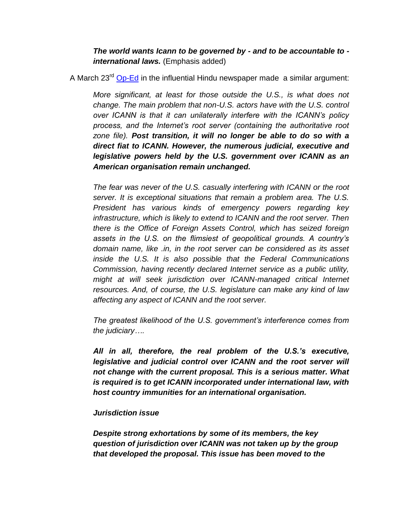*The world wants Icann to be governed by - and to be accountable to international laws.* (Emphasis added)

A March 23<sup>rd</sup> [Op-Ed](http://www.thehindu.com/opinion/op-ed/why-the-internet-isnt-just-free-yet/article8386172.ece) in the influential Hindu newspaper made a similar argument:

*More significant, at least for those outside the U.S., is what does not change. The main problem that non-U.S. actors have with the U.S. control over ICANN is that it can unilaterally interfere with the ICANN's policy process, and the Internet's root server (containing the authoritative root zone file). Post transition, it will no longer be able to do so with a direct fiat to ICANN. However, the numerous judicial, executive and legislative powers held by the U.S. government over ICANN as an American organisation remain unchanged.*

*The fear was never of the U.S. casually interfering with ICANN or the root server. It is exceptional situations that remain a problem area. The U.S. President has various kinds of emergency powers regarding key infrastructure, which is likely to extend to ICANN and the root server. Then there is the Office of Foreign Assets Control, which has seized foreign assets in the U.S. on the flimsiest of geopolitical grounds. A country's domain name, like .in, in the root server can be considered as its asset inside the U.S. It is also possible that the Federal Communications Commission, having recently declared Internet service as a public utility, might at will seek jurisdiction over ICANN-managed critical Internet resources. And, of course, the U.S. legislature can make any kind of law affecting any aspect of ICANN and the root server.*

*The greatest likelihood of the U.S. government's interference comes from the judiciary….*

*All in all, therefore, the real problem of the U.S.'s executive, legislative and judicial control over ICANN and the root server will not change with the current proposal. This is a serious matter. What is required is to get ICANN incorporated under international law, with host country immunities for an international organisation.*

## *Jurisdiction issue*

*Despite strong exhortations by some of its members, the key question of jurisdiction over ICANN was not taken up by the group that developed the proposal. This issue has been moved to the*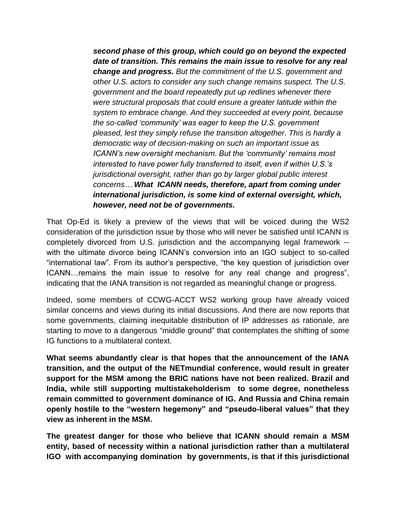*second phase of this group, which could go on beyond the expected date of transition. This remains the main issue to resolve for any real change and progress. But the commitment of the U.S. government and other U.S. actors to consider any such change remains suspect. The U.S. government and the board repeatedly put up redlines whenever there were structural proposals that could ensure a greater latitude within the system to embrace change. And they succeeded at every point, because the so-called 'community' was eager to keep the U.S. government pleased, lest they simply refuse the transition altogether. This is hardly a democratic way of decision-making on such an important issue as ICANN's new oversight mechanism. But the 'community' remains most interested to have power fully transferred to itself, even if within U.S.'s jurisdictional oversight, rather than go by larger global public interest concerns… What ICANN needs, therefore, apart from coming under international jurisdiction, is some kind of external oversight, which, however, need not be of governments.*

That Op-Ed is likely a preview of the views that will be voiced during the WS2 consideration of the jurisdiction issue by those who will never be satisfied until ICANN is completely divorced from U.S. jurisdiction and the accompanying legal framework - with the ultimate divorce being ICANN's conversion into an IGO subject to so-called "international law". From its author's perspective, "the key question of jurisdiction over ICANN…remains the main issue to resolve for any real change and progress", indicating that the IANA transition is not regarded as meaningful change or progress.

Indeed, some members of CCWG-ACCT WS2 working group have already voiced similar concerns and views during its initial discussions. And there are now reports that some governments, claiming inequitable distribution of IP addresses as rationale, are starting to move to a dangerous "middle ground" that contemplates the shifting of some IG functions to a multilateral context.

**What seems abundantly clear is that hopes that the announcement of the IANA transition, and the output of the NETmundial conference, would result in greater support for the MSM among the BRIC nations have not been realized. Brazil and India, while still supporting multistakeholderism to some degree, nonetheless remain committed to government dominance of IG. And Russia and China remain openly hostile to the "western hegemony" and "pseudo-liberal values" that they view as inherent in the MSM.**

**The greatest danger for those who believe that ICANN should remain a MSM entity, based of necessity within a national jurisdiction rather than a multilateral IGO with accompanying domination by governments, is that if this jurisdictional**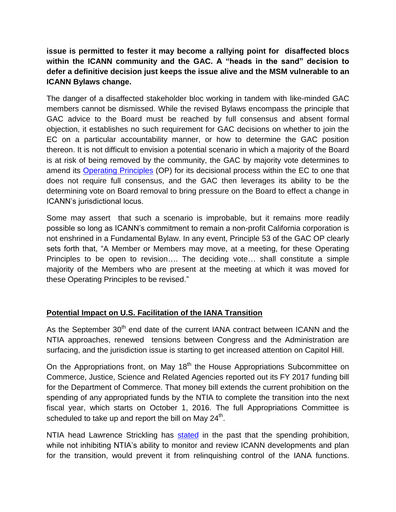**issue is permitted to fester it may become a rallying point for disaffected blocs within the ICANN community and the GAC. A "heads in the sand" decision to defer a definitive decision just keeps the issue alive and the MSM vulnerable to an ICANN Bylaws change.**

The danger of a disaffected stakeholder bloc working in tandem with like-minded GAC members cannot be dismissed. While the revised Bylaws encompass the principle that GAC advice to the Board must be reached by full consensus and absent formal objection, it establishes no such requirement for GAC decisions on whether to join the EC on a particular accountability manner, or how to determine the GAC position thereon. It is not difficult to envision a potential scenario in which a majority of the Board is at risk of being removed by the community, the GAC by majority vote determines to amend its [Operating Principles](https://gacweb.icann.org/display/gacweb/GAC+Operating+Principles) (OP) for its decisional process within the EC to one that does not require full consensus, and the GAC then leverages its ability to be the determining vote on Board removal to bring pressure on the Board to effect a change in ICANN's jurisdictional locus.

Some may assert that such a scenario is improbable, but it remains more readily possible so long as ICANN's commitment to remain a non-profit California corporation is not enshrined in a Fundamental Bylaw. In any event, Principle 53 of the GAC OP clearly sets forth that, "A Member or Members may move, at a meeting, for these Operating Principles to be open to revision…. The deciding vote… shall constitute a simple majority of the Members who are present at the meeting at which it was moved for these Operating Principles to be revised."

# **Potential Impact on U.S. Facilitation of the IANA Transition**

As the September 30<sup>th</sup> end date of the current IANA contract between ICANN and the NTIA approaches, renewed tensions between Congress and the Administration are surfacing, and the jurisdiction issue is starting to get increased attention on Capitol Hill.

On the Appropriations front, on May 18<sup>th</sup> the House Appropriations Subcommittee on Commerce, Justice, Science and Related Agencies reported out its FY 2017 funding bill for the Department of Commerce. That money bill extends the current prohibition on the spending of any appropriated funds by the NTIA to complete the transition into the next fiscal year, which starts on October 1, 2016. The full Appropriations Committee is scheduled to take up and report the bill on May 24<sup>th</sup>.

NTIA head Lawrence Strickling has [stated](http://www.circleid.com/posts/20150127_ntia_cromnibus_bars_iana_transition_during_current_contract_term/) in the past that the spending prohibition, while not inhibiting NTIA's ability to monitor and review ICANN developments and plan for the transition, would prevent it from relinquishing control of the IANA functions.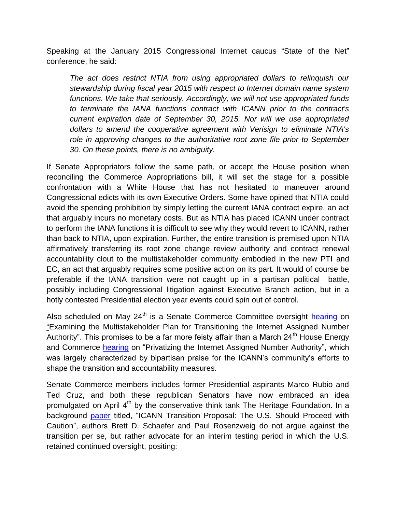Speaking at the January 2015 Congressional Internet caucus "State of the Net" conference, he said:

*The act does restrict NTIA from using appropriated dollars to relinquish our stewardship during fiscal year 2015 with respect to Internet domain name system functions. We take that seriously. Accordingly, we will not use appropriated funds to terminate the IANA functions contract with ICANN prior to the contract's current expiration date of September 30, 2015. Nor will we use appropriated dollars to amend the cooperative agreement with Verisign to eliminate NTIA's role in approving changes to the authoritative root zone file prior to September 30. On these points, there is no ambiguity.*

If Senate Appropriators follow the same path, or accept the House position when reconciling the Commerce Appropriations bill, it will set the stage for a possible confrontation with a White House that has not hesitated to maneuver around Congressional edicts with its own Executive Orders. Some have opined that NTIA could avoid the spending prohibition by simply letting the current IANA contract expire, an act that arguably incurs no monetary costs. But as NTIA has placed ICANN under contract to perform the IANA functions it is difficult to see why they would revert to ICANN, rather than back to NTIA, upon expiration. Further, the entire transition is premised upon NTIA affirmatively transferring its root zone change review authority and contract renewal accountability clout to the multistakeholder community embodied in the new PTI and EC, an act that arguably requires some positive action on its part. It would of course be preferable if the IANA transition were not caught up in a partisan political battle, possibly including Congressional litigation against Executive Branch action, but in a hotly contested Presidential election year events could spin out of control.

Also scheduled on May  $24<sup>th</sup>$  is a Senate Commerce Committee oversight [hearing](http://www.commerce.senate.gov/public/index.cfm/hearings?ID=418B1D81-1F0B-4E09-BB71-A98FBABE42B9) on "Examining the Multistakeholder Plan for Transitioning the Internet Assigned Number Authority". This promises to be a far more feisty affair than a March  $24<sup>th</sup>$  House Energy and Commerce [hearing](https://energycommerce.house.gov/hearings-and-votes/hearings/privatizing-internet-assigned-number-authority) on "Privatizing the Internet Assigned Number Authority", which was largely characterized by bipartisan praise for the ICANN's community's efforts to shape the transition and accountability measures.

Senate Commerce members includes former Presidential aspirants Marco Rubio and Ted Cruz, and both these republican Senators have now embraced an idea promulgated on April  $4<sup>th</sup>$  by the conservative think tank The Heritage Foundation. In a background [paper](http://www.heritage.org/research/reports/2016/04/icann-transition-proposal-the-us-should-proceed-with-caution) titled, "ICANN Transition Proposal: The U.S. Should Proceed with Caution", authors Brett D. Schaefer and Paul Rosenzweig do not argue against the transition per se, but rather advocate for an interim testing period in which the U.S. retained continued oversight, positing: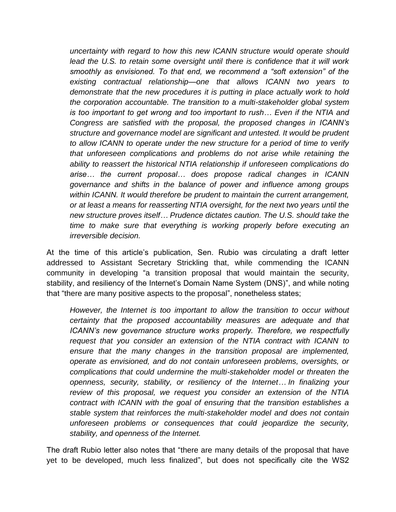*uncertainty with regard to how this new ICANN structure would operate should lead the U.S. to retain some oversight until there is confidence that it will work smoothly as envisioned. To that end, we recommend a "soft extension" of the existing contractual relationship—one that allows ICANN two years to demonstrate that the new procedures it is putting in place actually work to hold the corporation accountable. The transition to a multi-stakeholder global system is too important to get wrong and too important to rush… Even if the NTIA and Congress are satisfied with the proposal, the proposed changes in ICANN's structure and governance model are significant and untested. It would be prudent to allow ICANN to operate under the new structure for a period of time to verify that unforeseen complications and problems do not arise while retaining the ability to reassert the historical NTIA relationship if unforeseen complications do arise… the current proposal… does propose radical changes in ICANN governance and shifts in the balance of power and influence among groups within ICANN. It would therefore be prudent to maintain the current arrangement, or at least a means for reasserting NTIA oversight, for the next two years until the new structure proves itself… Prudence dictates caution. The U.S. should take the time to make sure that everything is working properly before executing an irreversible decision.*

At the time of this article's publication, Sen. Rubio was circulating a draft letter addressed to Assistant Secretary Strickling that, while commending the ICANN community in developing "a transition proposal that would maintain the security, stability, and resiliency of the Internet's Domain Name System (DNS)", and while noting that "there are many positive aspects to the proposal", nonetheless states;

*However, the Internet is too important to allow the transition to occur without certainty that the proposed accountability measures are adequate and that ICANN's new governance structure works properly. Therefore, we respectfully request that you consider an extension of the NTIA contract with ICANN to ensure that the many changes in the transition proposal are implemented, operate as envisioned, and do not contain unforeseen problems, oversights, or complications that could undermine the multi-stakeholder model or threaten the openness, security, stability, or resiliency of the Internet… In finalizing your review of this proposal, we request you consider an extension of the NTIA contract with ICANN with the goal of ensuring that the transition establishes a stable system that reinforces the multi-stakeholder model and does not contain unforeseen problems or consequences that could jeopardize the security, stability, and openness of the Internet.* 

The draft Rubio letter also notes that "there are many details of the proposal that have yet to be developed, much less finalized", but does not specifically cite the WS2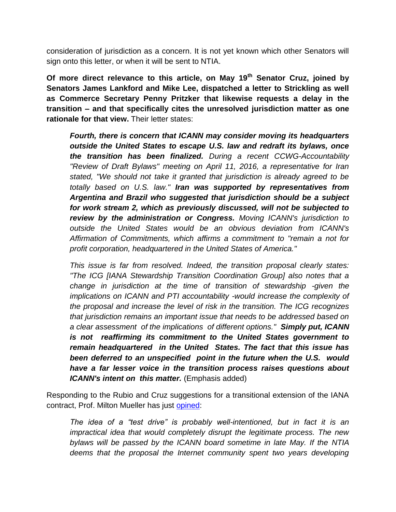consideration of jurisdiction as a concern. It is not yet known which other Senators will sign onto this letter, or when it will be sent to NTIA.

**Of more direct relevance to this article, on May 19th Senator Cruz, joined by Senators James Lankford and Mike Lee, dispatched a letter to Strickling as well as Commerce Secretary Penny Pritzker that likewise requests a delay in the transition – and that specifically cites the unresolved jurisdiction matter as one rationale for that view.** Their letter states:

*Fourth, there is concern that ICANN may consider moving its headquarters outside the United States to escape U.S. law and redraft its bylaws, once the transition has been finalized. During a recent CCWG-Accountability "Review of Draft Bylaws" meeting on April 11, 2016, a representative for Iran stated, "We should not take it granted that jurisdiction is already agreed to be totally based on U.S. law." Iran was supported by representatives from Argentina and Brazil who suggested that jurisdiction should be a subject for work stream 2, which as previously discussed, will not be subjected to review by the administration or Congress. Moving ICANN's jurisdiction to outside the United States would be an obvious deviation from ICANN's Affirmation of Commitments, which affirms a commitment to "remain a not for profit corporation, headquartered in the United States of America."*

*This issue is far from resolved. Indeed, the transition proposal clearly states: "The ICG [IANA Stewardship Transition Coordination Group] also notes that a change in jurisdiction at the time of transition of stewardship -given the implications on ICANN and PTI accountability -would increase the complexity of the proposal and increase the level of risk in the transition. The ICG recognizes that jurisdiction remains an important issue that needs to be addressed based on a clear assessment of the implications of different options." Simply put, ICANN is not reaffirming its commitment to the United States government to remain headquartered in the United States. The fact that this issue has been deferred to an unspecified point in the future when the U.S. would have a far lesser voice in the transition process raises questions about ICANN's intent on this matter.* (Emphasis added)

Responding to the Rubio and Cruz suggestions for a transitional extension of the IANA contract, Prof. Milton Mueller has just [opined:](http://www.internetgovernance.org/2016/05/20/two-more-speed-bumps-for-the-icann-reforms/)

*The idea of a "test drive" is probably well-intentioned, but in fact it is an impractical idea that would completely disrupt the legitimate process. The new bylaws will be passed by the ICANN board sometime in late May. If the NTIA deems that the proposal the Internet community spent two years developing*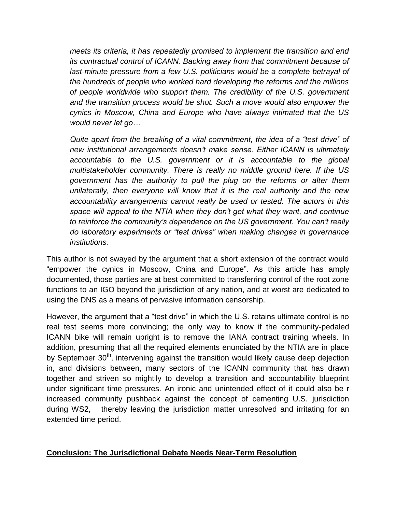*meets its criteria, it has repeatedly promised to implement the transition and end its contractual control of ICANN. Backing away from that commitment because of*  last-minute pressure from a few U.S. politicians would be a complete betrayal of *the hundreds of people who worked hard developing the reforms and the millions of people worldwide who support them. The credibility of the U.S. government and the transition process would be shot. Such a move would also empower the cynics in Moscow, China and Europe who have always intimated that the US would never let go…*

*Quite apart from the breaking of a vital commitment, the idea of a "test drive" of new institutional arrangements doesn't make sense. Either ICANN is ultimately accountable to the U.S. government or it is accountable to the global multistakeholder community. There is really no middle ground here. If the US government has the authority to pull the plug on the reforms or alter them unilaterally, then everyone will know that it is the real authority and the new accountability arrangements cannot really be used or tested. The actors in this space will appeal to the NTIA when they don't get what they want, and continue to reinforce the community's dependence on the US government. You can't really do laboratory experiments or "test drives" when making changes in governance institutions.*

This author is not swayed by the argument that a short extension of the contract would "empower the cynics in Moscow, China and Europe". As this article has amply documented, those parties are at best committed to transferring control of the root zone functions to an IGO beyond the jurisdiction of any nation, and at worst are dedicated to using the DNS as a means of pervasive information censorship.

However, the argument that a "test drive" in which the U.S. retains ultimate control is no real test seems more convincing; the only way to know if the community-pedaled ICANN bike will remain upright is to remove the IANA contract training wheels. In addition, presuming that all the required elements enunciated by the NTIA are in place by September  $30<sup>th</sup>$ , intervening against the transition would likely cause deep dejection in, and divisions between, many sectors of the ICANN community that has drawn together and striven so mightily to develop a transition and accountability blueprint under significant time pressures. An ironic and unintended effect of it could also be r increased community pushback against the concept of cementing U.S. jurisdiction during WS2, thereby leaving the jurisdiction matter unresolved and irritating for an extended time period.

## **Conclusion: The Jurisdictional Debate Needs Near-Term Resolution**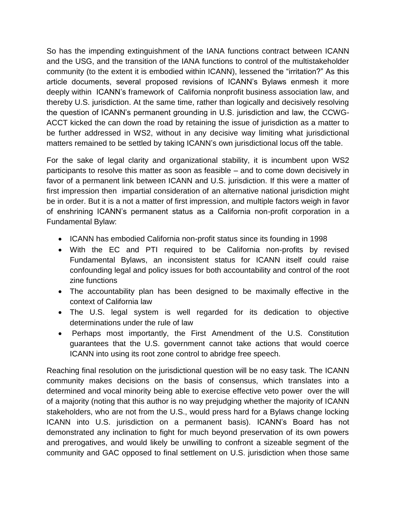So has the impending extinguishment of the IANA functions contract between ICANN and the USG, and the transition of the IANA functions to control of the multistakeholder community (to the extent it is embodied within ICANN), lessened the "irritation?" As this article documents, several proposed revisions of ICANN's Bylaws enmesh it more deeply within ICANN's framework of California nonprofit business association law, and thereby U.S. jurisdiction. At the same time, rather than logically and decisively resolving the question of ICANN's permanent grounding in U.S. jurisdiction and law, the CCWG-ACCT kicked the can down the road by retaining the issue of jurisdiction as a matter to be further addressed in WS2, without in any decisive way limiting what jurisdictional matters remained to be settled by taking ICANN's own jurisdictional locus off the table.

For the sake of legal clarity and organizational stability, it is incumbent upon WS2 participants to resolve this matter as soon as feasible – and to come down decisively in favor of a permanent link between ICANN and U.S. jurisdiction. If this were a matter of first impression then impartial consideration of an alternative national jurisdiction might be in order. But it is a not a matter of first impression, and multiple factors weigh in favor of enshrining ICANN's permanent status as a California non-profit corporation in a Fundamental Bylaw:

- ICANN has embodied California non-profit status since its founding in 1998
- With the EC and PTI required to be California non-profits by revised Fundamental Bylaws, an inconsistent status for ICANN itself could raise confounding legal and policy issues for both accountability and control of the root zine functions
- The accountability plan has been designed to be maximally effective in the context of California law
- The U.S. legal system is well regarded for its dedication to objective determinations under the rule of law
- Perhaps most importantly, the First Amendment of the U.S. Constitution guarantees that the U.S. government cannot take actions that would coerce ICANN into using its root zone control to abridge free speech.

Reaching final resolution on the jurisdictional question will be no easy task. The ICANN community makes decisions on the basis of consensus, which translates into a determined and vocal minority being able to exercise effective veto power over the will of a majority (noting that this author is no way prejudging whether the majority of ICANN stakeholders, who are not from the U.S., would press hard for a Bylaws change locking ICANN into U.S. jurisdiction on a permanent basis). ICANN's Board has not demonstrated any inclination to fight for much beyond preservation of its own powers and prerogatives, and would likely be unwilling to confront a sizeable segment of the community and GAC opposed to final settlement on U.S. jurisdiction when those same